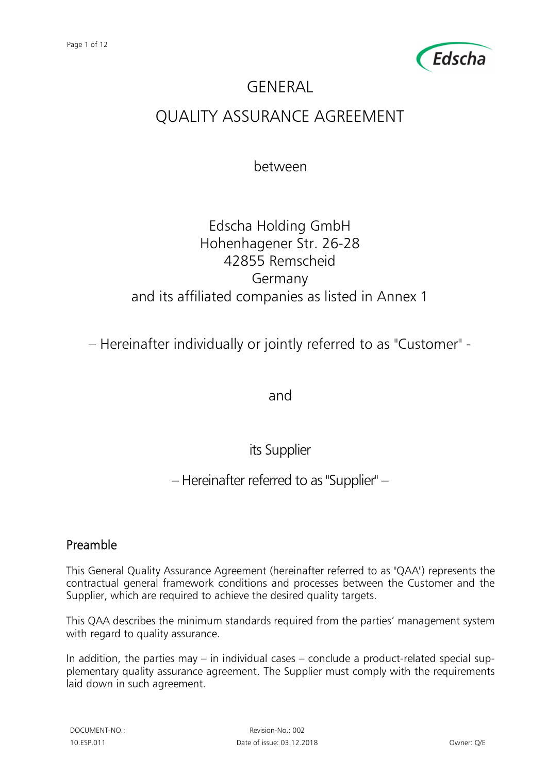

# **GENERAL**

## QUALITY ASSURANCE AGREEMENT

between

## Edscha Holding GmbH Hohenhagener Str. 26-28 42855 Remscheid Germany and its affiliated companies as listed in Annex 1

– Hereinafter individually or jointly referred to as "Customer" -

and

its Supplier

– Hereinafter referred to as "Supplier" –

## Preamble

This General Quality Assurance Agreement (hereinafter referred to as "QAA") represents the contractual general framework conditions and processes between the Customer and the Supplier, which are required to achieve the desired quality targets.

This QAA describes the minimum standards required from the parties' management system with regard to quality assurance.

In addition, the parties may  $-$  in individual cases  $-$  conclude a product-related special supplementary quality assurance agreement. The Supplier must comply with the requirements laid down in such agreement.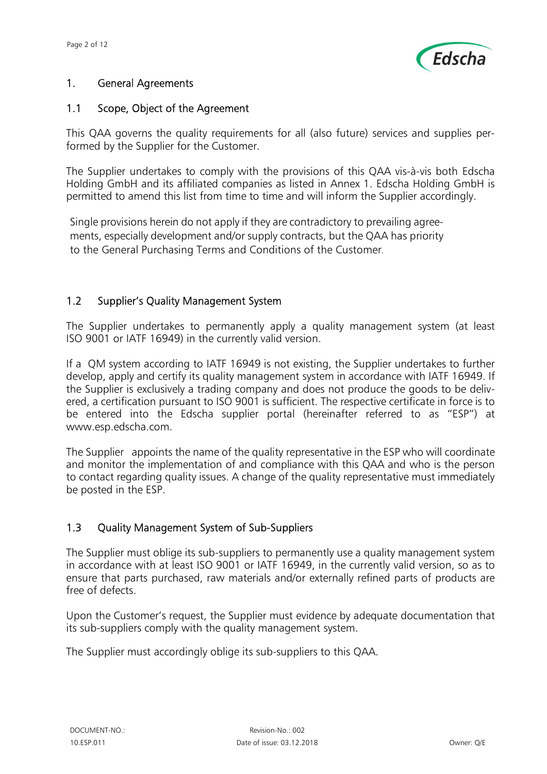

#### 1. General Agreements

#### 1.1 Scope, Object of the Agreement

This QAA governs the quality requirements for all (also future) services and supplies performed by the Supplier for the Customer.

The Supplier undertakes to comply with the provisions of this QAA vis-à-vis both Edscha Holding GmbH and its affiliated companies as listed in Annex 1. Edscha Holding GmbH is permitted to amend this list from time to time and will inform the Supplier accordingly.

Single provisions herein do not apply if they are contradictory to prevailing agreements, especially development and/or supply contracts, but the QAA has priority to the General Purchasing Terms and Conditions of the Customer.

#### 1.2 Supplier's Quality Management System

The Supplier undertakes to permanently apply a quality management system (at least ISO 9001 or IATF 16949) in the currently valid version.

If a QM system according to IATF 16949 is not existing, the Supplier undertakes to further develop, apply and certify its quality management system in accordance with IATF 16949. If the Supplier is exclusively a trading company and does not produce the goods to be delivered, a certification pursuant to ISO 9001 is sufficient. The respective certificate in force is to be entered into the Edscha supplier portal (hereinafter referred to as "ESP") at www.esp.edscha.com.

The Supplier appoints the name of the quality representative in the ESP who will coordinate and monitor the implementation of and compliance with this QAA and who is the person to contact regarding quality issues. A change of the quality representative must immediately be posted in the ESP.

### 1.3 Quality Management System of Sub-Suppliers

The Supplier must oblige its sub-suppliers to permanently use a quality management system in accordance with at least ISO 9001 or IATF 16949, in the currently valid version, so as to ensure that parts purchased, raw materials and/or externally refined parts of products are free of defects.

Upon the Customer's request, the Supplier must evidence by adequate documentation that its sub-suppliers comply with the quality management system.

The Supplier must accordingly oblige its sub-suppliers to this QAA.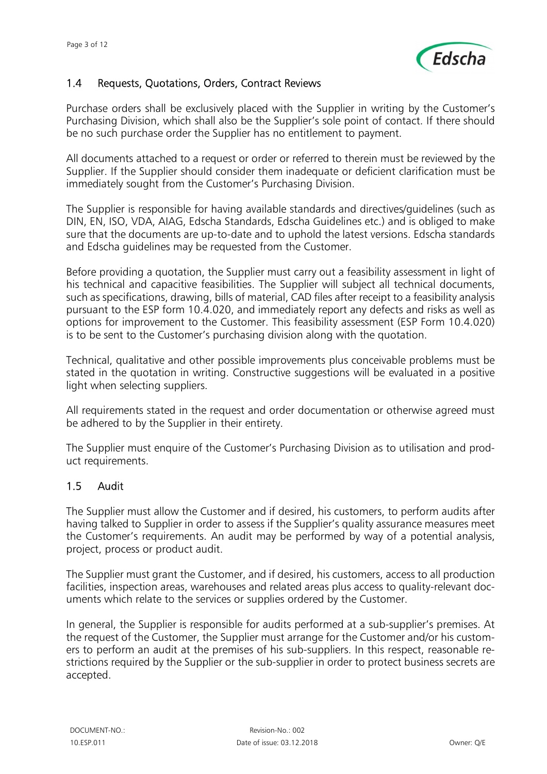

## 1.4 Requests, Quotations, Orders, Contract Reviews

Purchase orders shall be exclusively placed with the Supplier in writing by the Customer's Purchasing Division, which shall also be the Supplier's sole point of contact. If there should be no such purchase order the Supplier has no entitlement to payment.

All documents attached to a request or order or referred to therein must be reviewed by the Supplier. If the Supplier should consider them inadequate or deficient clarification must be immediately sought from the Customer's Purchasing Division.

The Supplier is responsible for having available standards and directives/guidelines (such as DIN, EN, ISO, VDA, AIAG, Edscha Standards, Edscha Guidelines etc.) and is obliged to make sure that the documents are up-to-date and to uphold the latest versions. Edscha standards and Edscha guidelines may be requested from the Customer.

Before providing a quotation, the Supplier must carry out a feasibility assessment in light of his technical and capacitive feasibilities. The Supplier will subject all technical documents, such as specifications, drawing, bills of material, CAD files after receipt to a feasibility analysis pursuant to the ESP form 10.4.020, and immediately report any defects and risks as well as options for improvement to the Customer. This feasibility assessment (ESP Form 10.4.020) is to be sent to the Customer's purchasing division along with the quotation.

Technical, qualitative and other possible improvements plus conceivable problems must be stated in the quotation in writing. Constructive suggestions will be evaluated in a positive light when selecting suppliers.

All requirements stated in the request and order documentation or otherwise agreed must be adhered to by the Supplier in their entirety.

The Supplier must enquire of the Customer's Purchasing Division as to utilisation and product requirements.

### 1.5 Audit

The Supplier must allow the Customer and if desired, his customers, to perform audits after having talked to Supplier in order to assess if the Supplier's quality assurance measures meet the Customer's requirements. An audit may be performed by way of a potential analysis, project, process or product audit.

The Supplier must grant the Customer, and if desired, his customers, access to all production facilities, inspection areas, warehouses and related areas plus access to quality-relevant documents which relate to the services or supplies ordered by the Customer.

In general, the Supplier is responsible for audits performed at a sub-supplier's premises. At the request of the Customer, the Supplier must arrange for the Customer and/or his customers to perform an audit at the premises of his sub-suppliers. In this respect, reasonable restrictions required by the Supplier or the sub-supplier in order to protect business secrets are accepted.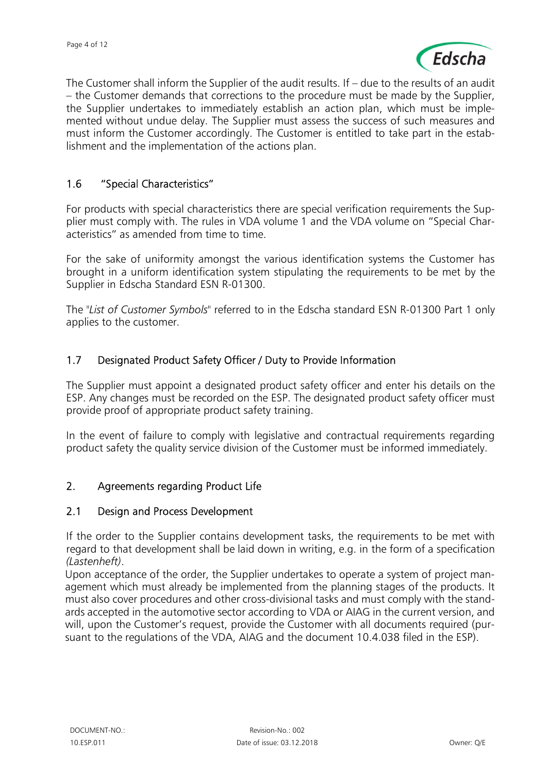

The Customer shall inform the Supplier of the audit results. If – due to the results of an audit – the Customer demands that corrections to the procedure must be made by the Supplier, the Supplier undertakes to immediately establish an action plan, which must be implemented without undue delay. The Supplier must assess the success of such measures and must inform the Customer accordingly. The Customer is entitled to take part in the establishment and the implementation of the actions plan.

#### 1.6 "Special Characteristics"

For products with special characteristics there are special verification requirements the Supplier must comply with. The rules in VDA volume 1 and the VDA volume on "Special Characteristics" as amended from time to time.

For the sake of uniformity amongst the various identification systems the Customer has brought in a uniform identification system stipulating the requirements to be met by the Supplier in Edscha Standard ESN R-01300.

The "List of Customer Symbols" referred to in the Edscha standard ESN R-01300 Part 1 only applies to the customer.

#### 1.7 Designated Product Safety Officer / Duty to Provide Information

The Supplier must appoint a designated product safety officer and enter his details on the ESP. Any changes must be recorded on the ESP. The designated product safety officer must provide proof of appropriate product safety training.

In the event of failure to comply with legislative and contractual requirements regarding product safety the quality service division of the Customer must be informed immediately.

#### 2. Agreements regarding Product Life

#### 2.1 Design and Process Development

If the order to the Supplier contains development tasks, the requirements to be met with regard to that development shall be laid down in writing, e.g. in the form of a specification (Lastenheft).

Upon acceptance of the order, the Supplier undertakes to operate a system of project management which must already be implemented from the planning stages of the products. It must also cover procedures and other cross-divisional tasks and must comply with the standards accepted in the automotive sector according to VDA or AIAG in the current version, and will, upon the Customer's request, provide the Customer with all documents required (pursuant to the regulations of the VDA, AIAG and the document 10.4.038 filed in the ESP).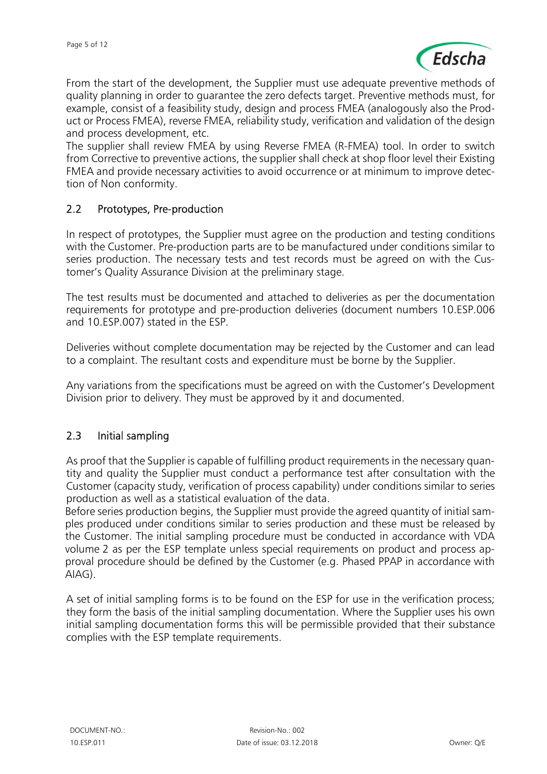

From the start of the development, the Supplier must use adequate preventive methods of quality planning in order to guarantee the zero defects target. Preventive methods must, for example, consist of a feasibility study, design and process FMEA (analogously also the Product or Process FMEA), reverse FMEA, reliability study, verification and validation of the design and process development, etc.

The supplier shall review FMEA by using Reverse FMEA (R-FMEA) tool. In order to switch from Corrective to preventive actions, the supplier shall check at shop floor level their Existing FMEA and provide necessary activities to avoid occurrence or at minimum to improve detection of Non conformity.

### 2.2 Prototypes, Pre-production

In respect of prototypes, the Supplier must agree on the production and testing conditions with the Customer. Pre-production parts are to be manufactured under conditions similar to series production. The necessary tests and test records must be agreed on with the Customer's Quality Assurance Division at the preliminary stage.

The test results must be documented and attached to deliveries as per the documentation requirements for prototype and pre-production deliveries (document numbers 10.ESP.006 and 10.ESP.007) stated in the ESP.

Deliveries without complete documentation may be rejected by the Customer and can lead to a complaint. The resultant costs and expenditure must be borne by the Supplier.

Any variations from the specifications must be agreed on with the Customer's Development Division prior to delivery. They must be approved by it and documented.

### 2.3 Initial sampling

As proof that the Supplier is capable of fulfilling product requirements in the necessary quantity and quality the Supplier must conduct a performance test after consultation with the Customer (capacity study, verification of process capability) under conditions similar to series production as well as a statistical evaluation of the data.

Before series production begins, the Supplier must provide the agreed quantity of initial samples produced under conditions similar to series production and these must be released by the Customer. The initial sampling procedure must be conducted in accordance with VDA volume 2 as per the ESP template unless special requirements on product and process approval procedure should be defined by the Customer (e.g. Phased PPAP in accordance with AIAG).

A set of initial sampling forms is to be found on the ESP for use in the verification process; they form the basis of the initial sampling documentation. Where the Supplier uses his own initial sampling documentation forms this will be permissible provided that their substance complies with the ESP template requirements.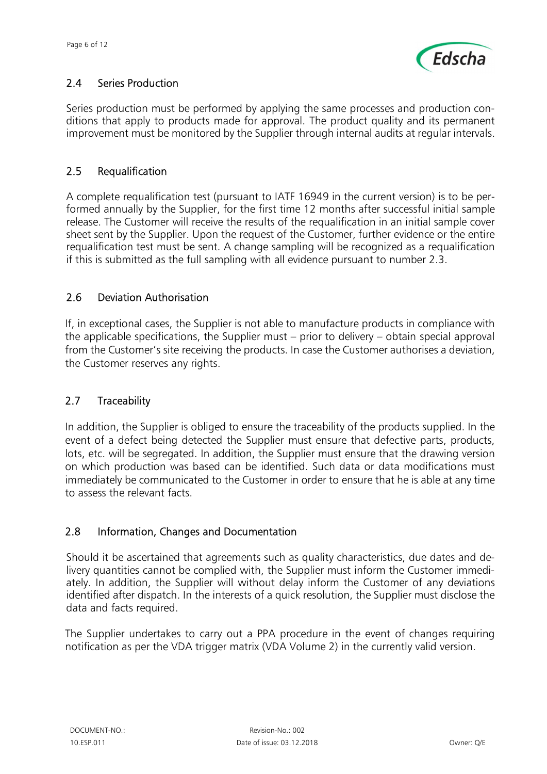

## 2.4 Series Production

Series production must be performed by applying the same processes and production conditions that apply to products made for approval. The product quality and its permanent improvement must be monitored by the Supplier through internal audits at regular intervals.

## 2.5 Requalification

A complete requalification test (pursuant to IATF 16949 in the current version) is to be performed annually by the Supplier, for the first time 12 months after successful initial sample release. The Customer will receive the results of the requalification in an initial sample cover sheet sent by the Supplier. Upon the request of the Customer, further evidence or the entire requalification test must be sent. A change sampling will be recognized as a requalification if this is submitted as the full sampling with all evidence pursuant to number 2.3.

## 2.6 Deviation Authorisation

If, in exceptional cases, the Supplier is not able to manufacture products in compliance with the applicable specifications, the Supplier must – prior to delivery – obtain special approval from the Customer's site receiving the products. In case the Customer authorises a deviation, the Customer reserves any rights.

### 2.7 Traceability

In addition, the Supplier is obliged to ensure the traceability of the products supplied. In the event of a defect being detected the Supplier must ensure that defective parts, products, lots, etc. will be segregated. In addition, the Supplier must ensure that the drawing version on which production was based can be identified. Such data or data modifications must immediately be communicated to the Customer in order to ensure that he is able at any time to assess the relevant facts.

### 2.8 Information, Changes and Documentation

Should it be ascertained that agreements such as quality characteristics, due dates and delivery quantities cannot be complied with, the Supplier must inform the Customer immediately. In addition, the Supplier will without delay inform the Customer of any deviations identified after dispatch. In the interests of a quick resolution, the Supplier must disclose the data and facts required.

The Supplier undertakes to carry out a PPA procedure in the event of changes requiring notification as per the VDA trigger matrix (VDA Volume 2) in the currently valid version.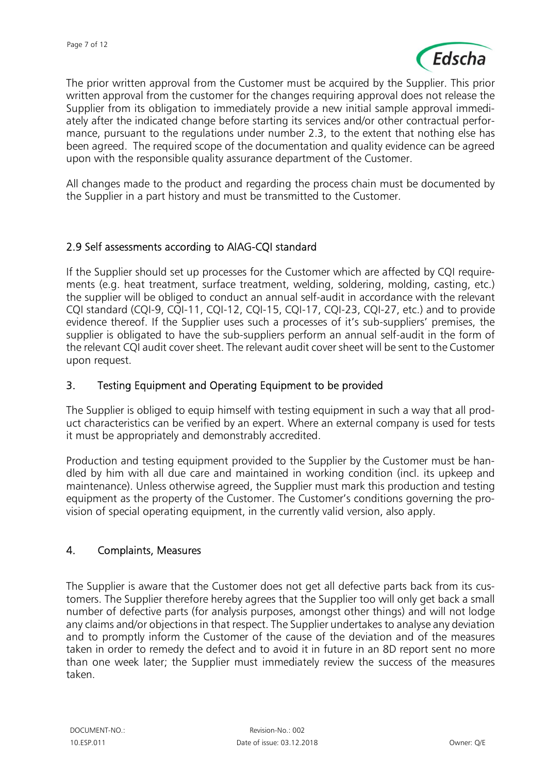

The prior written approval from the Customer must be acquired by the Supplier. This prior written approval from the customer for the changes requiring approval does not release the Supplier from its obligation to immediately provide a new initial sample approval immediately after the indicated change before starting its services and/or other contractual performance, pursuant to the regulations under number 2.3, to the extent that nothing else has been agreed. The required scope of the documentation and quality evidence can be agreed upon with the responsible quality assurance department of the Customer.

All changes made to the product and regarding the process chain must be documented by the Supplier in a part history and must be transmitted to the Customer.

#### 2.9 Self assessments according to AIAG-CQI standard

If the Supplier should set up processes for the Customer which are affected by CQI requirements (e.g. heat treatment, surface treatment, welding, soldering, molding, casting, etc.) the supplier will be obliged to conduct an annual self-audit in accordance with the relevant CQI standard (CQI-9, CQI-11, CQI-12, CQI-15, CQI-17, CQI-23, CQI-27, etc.) and to provide evidence thereof. If the Supplier uses such a processes of it's sub-suppliers' premises, the supplier is obligated to have the sub-suppliers perform an annual self-audit in the form of the relevant CQI audit cover sheet. The relevant audit cover sheet will be sent to the Customer upon request.

#### 3. Testing Equipment and Operating Equipment to be provided

The Supplier is obliged to equip himself with testing equipment in such a way that all product characteristics can be verified by an expert. Where an external company is used for tests it must be appropriately and demonstrably accredited.

Production and testing equipment provided to the Supplier by the Customer must be handled by him with all due care and maintained in working condition (incl. its upkeep and maintenance). Unless otherwise agreed, the Supplier must mark this production and testing equipment as the property of the Customer. The Customer's conditions governing the provision of special operating equipment, in the currently valid version, also apply.

#### 4. Complaints, Measures

The Supplier is aware that the Customer does not get all defective parts back from its customers. The Supplier therefore hereby agrees that the Supplier too will only get back a small number of defective parts (for analysis purposes, amongst other things) and will not lodge any claims and/or objections in that respect. The Supplier undertakes to analyse any deviation and to promptly inform the Customer of the cause of the deviation and of the measures taken in order to remedy the defect and to avoid it in future in an 8D report sent no more than one week later; the Supplier must immediately review the success of the measures taken.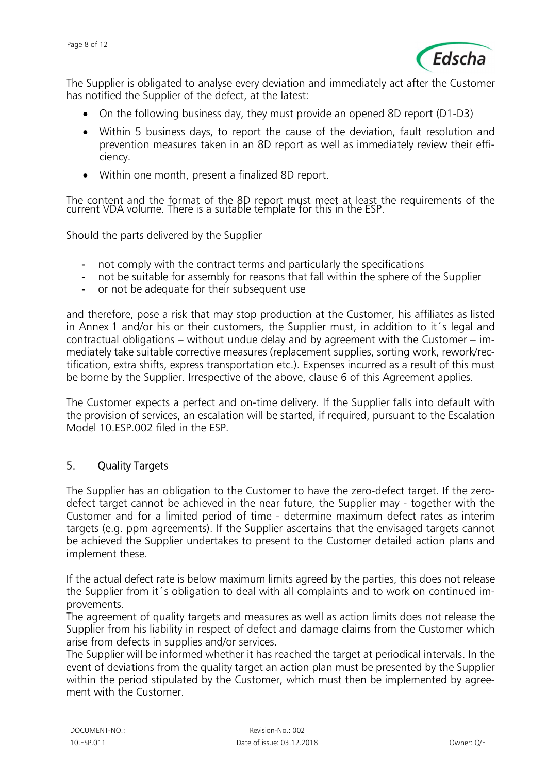

The Supplier is obligated to analyse every deviation and immediately act after the Customer has notified the Supplier of the defect, at the latest:

- On the following business day, they must provide an opened 8D report (D1-D3)
- Within 5 business days, to report the cause of the deviation, fault resolution and prevention measures taken in an 8D report as well as immediately review their efficiency.
- Within one month, present a finalized 8D report.

The content and the format of the 8D report must meet at least the requirements of the current VDA volume. There is a suitable template for this in the ESP.

Should the parts delivered by the Supplier

- not comply with the contract terms and particularly the specifications
- not be suitable for assembly for reasons that fall within the sphere of the Supplier
- or not be adequate for their subsequent use

and therefore, pose a risk that may stop production at the Customer, his affiliates as listed in Annex 1 and/or his or their customers, the Supplier must, in addition to it´s legal and contractual obligations – without undue delay and by agreement with the Customer – immediately take suitable corrective measures (replacement supplies, sorting work, rework/rectification, extra shifts, express transportation etc.). Expenses incurred as a result of this must be borne by the Supplier. Irrespective of the above, clause 6 of this Agreement applies.

The Customer expects a perfect and on-time delivery. If the Supplier falls into default with the provision of services, an escalation will be started, if required, pursuant to the Escalation Model 10.ESP.002 filed in the ESP.

#### 5. Quality Targets

The Supplier has an obligation to the Customer to have the zero-defect target. If the zerodefect target cannot be achieved in the near future, the Supplier may - together with the Customer and for a limited period of time - determine maximum defect rates as interim targets (e.g. ppm agreements). If the Supplier ascertains that the envisaged targets cannot be achieved the Supplier undertakes to present to the Customer detailed action plans and implement these.

If the actual defect rate is below maximum limits agreed by the parties, this does not release the Supplier from it´s obligation to deal with all complaints and to work on continued improvements.

The agreement of quality targets and measures as well as action limits does not release the Supplier from his liability in respect of defect and damage claims from the Customer which arise from defects in supplies and/or services.

The Supplier will be informed whether it has reached the target at periodical intervals. In the event of deviations from the quality target an action plan must be presented by the Supplier within the period stipulated by the Customer, which must then be implemented by agreement with the Customer.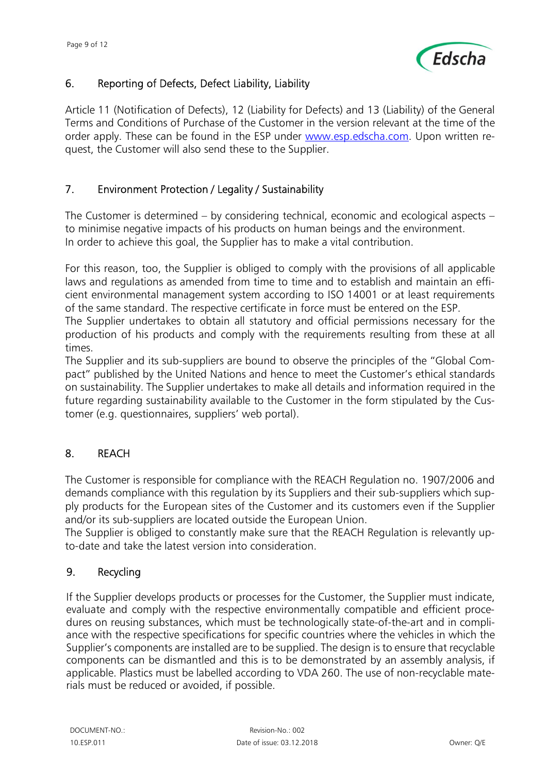

## 6. Reporting of Defects, Defect Liability, Liability

Article 11 (Notification of Defects), 12 (Liability for Defects) and 13 (Liability) of the General Terms and Conditions of Purchase of the Customer in the version relevant at the time of the order apply. These can be found in the ESP under www.esp.edscha.com. Upon written request, the Customer will also send these to the Supplier.

## 7. Environment Protection / Legality / Sustainability

The Customer is determined – by considering technical, economic and ecological aspects – to minimise negative impacts of his products on human beings and the environment. In order to achieve this goal, the Supplier has to make a vital contribution.

For this reason, too, the Supplier is obliged to comply with the provisions of all applicable laws and regulations as amended from time to time and to establish and maintain an efficient environmental management system according to ISO 14001 or at least requirements of the same standard. The respective certificate in force must be entered on the ESP.

The Supplier undertakes to obtain all statutory and official permissions necessary for the production of his products and comply with the requirements resulting from these at all times.

The Supplier and its sub-suppliers are bound to observe the principles of the "Global Compact" published by the United Nations and hence to meet the Customer's ethical standards on sustainability. The Supplier undertakes to make all details and information required in the future regarding sustainability available to the Customer in the form stipulated by the Customer (e.g. questionnaires, suppliers' web portal).

### 8. REACH

The Customer is responsible for compliance with the REACH Regulation no. 1907/2006 and demands compliance with this regulation by its Suppliers and their sub-suppliers which supply products for the European sites of the Customer and its customers even if the Supplier and/or its sub-suppliers are located outside the European Union.

The Supplier is obliged to constantly make sure that the REACH Regulation is relevantly upto-date and take the latest version into consideration.

### 9. Recycling

If the Supplier develops products or processes for the Customer, the Supplier must indicate, evaluate and comply with the respective environmentally compatible and efficient procedures on reusing substances, which must be technologically state-of-the-art and in compliance with the respective specifications for specific countries where the vehicles in which the Supplier's components are installed are to be supplied. The design is to ensure that recyclable components can be dismantled and this is to be demonstrated by an assembly analysis, if applicable. Plastics must be labelled according to VDA 260. The use of non-recyclable materials must be reduced or avoided, if possible.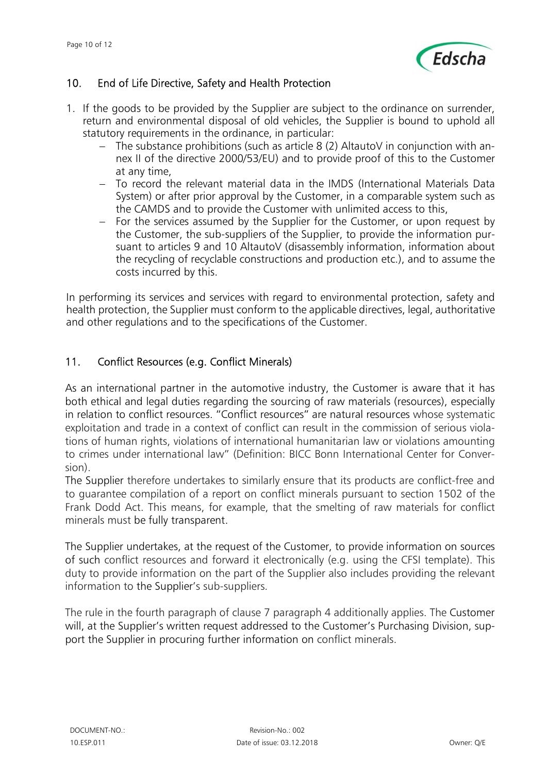

## 10. End of Life Directive, Safety and Health Protection

- 1. If the goods to be provided by the Supplier are subject to the ordinance on surrender, return and environmental disposal of old vehicles, the Supplier is bound to uphold all statutory requirements in the ordinance, in particular:
	- $-$  The substance prohibitions (such as article 8 (2) AltautoV in conjunction with annex II of the directive 2000/53/EU) and to provide proof of this to the Customer at any time,
	- To record the relevant material data in the IMDS (International Materials Data System) or after prior approval by the Customer, in a comparable system such as the CAMDS and to provide the Customer with unlimited access to this,
	- $-$  For the services assumed by the Supplier for the Customer, or upon request by the Customer, the sub-suppliers of the Supplier, to provide the information pursuant to articles 9 and 10 AltautoV (disassembly information, information about the recycling of recyclable constructions and production etc.), and to assume the costs incurred by this.

In performing its services and services with regard to environmental protection, safety and health protection, the Supplier must conform to the applicable directives, legal, authoritative and other regulations and to the specifications of the Customer.

### 11. Conflict Resources (e.g. Conflict Minerals)

As an international partner in the automotive industry, the Customer is aware that it has both ethical and legal duties regarding the sourcing of raw materials (resources), especially in relation to conflict resources. "Conflict resources" are natural resources whose systematic exploitation and trade in a context of conflict can result in the commission of serious violations of human rights, violations of international humanitarian law or violations amounting to crimes under international law" (Definition: BICC Bonn International Center for Conversion).

The Supplier therefore undertakes to similarly ensure that its products are conflict-free and to guarantee compilation of a report on conflict minerals pursuant to section 1502 of the Frank Dodd Act. This means, for example, that the smelting of raw materials for conflict minerals must be fully transparent.

The Supplier undertakes, at the request of the Customer, to provide information on sources of such conflict resources and forward it electronically (e.g. using the CFSI template). This duty to provide information on the part of the Supplier also includes providing the relevant information to the Supplier's sub-suppliers.

The rule in the fourth paragraph of clause 7 paragraph 4 additionally applies. The Customer will, at the Supplier's written request addressed to the Customer's Purchasing Division, support the Supplier in procuring further information on conflict minerals.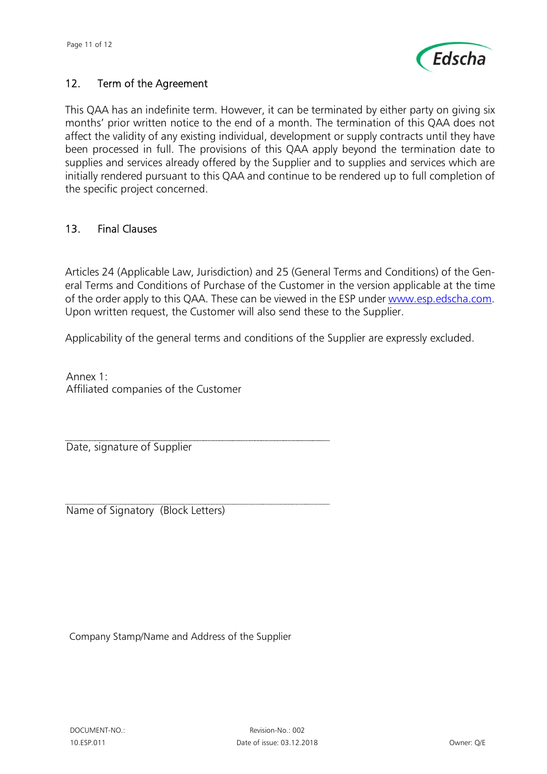

## 12. Term of the Agreement

This QAA has an indefinite term. However, it can be terminated by either party on giving six months' prior written notice to the end of a month. The termination of this QAA does not affect the validity of any existing individual, development or supply contracts until they have been processed in full. The provisions of this QAA apply beyond the termination date to supplies and services already offered by the Supplier and to supplies and services which are initially rendered pursuant to this QAA and continue to be rendered up to full completion of the specific project concerned.

#### 13. Final Clauses

Articles 24 (Applicable Law, Jurisdiction) and 25 (General Terms and Conditions) of the General Terms and Conditions of Purchase of the Customer in the version applicable at the time of the order apply to this QAA. These can be viewed in the ESP under www.esp.edscha.com. Upon written request, the Customer will also send these to the Supplier.

Applicability of the general terms and conditions of the Supplier are expressly excluded.

Annex 1: Affiliated companies of the Customer

Date, signature of Supplier

Name of Signatory (Block Letters)

Company Stamp/Name and Address of the Supplier